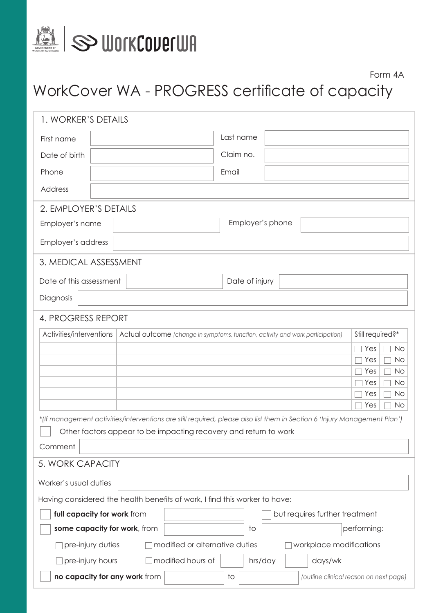

#### Form 4A

# WorkCover WA - PROGRESS certificate of capacity

| 1. WORKER'S DETAILS                                                        |                                                                                                                           |  |  |
|----------------------------------------------------------------------------|---------------------------------------------------------------------------------------------------------------------------|--|--|
| First name                                                                 | Last name                                                                                                                 |  |  |
| Date of birth                                                              | Claim no.                                                                                                                 |  |  |
| Phone                                                                      | Email                                                                                                                     |  |  |
| Address                                                                    |                                                                                                                           |  |  |
| 2. EMPLOYER'S DETAILS                                                      |                                                                                                                           |  |  |
| Employer's name                                                            | Employer's phone                                                                                                          |  |  |
| Employer's address                                                         |                                                                                                                           |  |  |
| 3. MEDICAL ASSESSMENT                                                      |                                                                                                                           |  |  |
| Date of this assessment                                                    | Date of injury                                                                                                            |  |  |
| Diagnosis                                                                  |                                                                                                                           |  |  |
| 4. PROGRESS REPORT                                                         |                                                                                                                           |  |  |
| Activities/interventions                                                   | Still required?*<br>Actual outcome (change in symptoms, function, activity and work participation)                        |  |  |
|                                                                            | Yes<br><b>No</b><br>Yes<br>No<br>Yes<br>No<br>No<br>Yes<br>No.<br>Yes<br>No<br>Yes                                        |  |  |
|                                                                            | *(If management activities/interventions are still required, please also list them in Section 6 'Injury Management Plan') |  |  |
|                                                                            | Other factors appear to be impacting recovery and return to work                                                          |  |  |
| Comment                                                                    |                                                                                                                           |  |  |
| 5. WORK CAPACITY                                                           |                                                                                                                           |  |  |
| Worker's usual duties                                                      |                                                                                                                           |  |  |
| Having considered the health benefits of work, I find this worker to have: |                                                                                                                           |  |  |
| full capacity for work from                                                | but requires further treatment                                                                                            |  |  |
| some capacity for work, from                                               | performing:<br>to                                                                                                         |  |  |
| pre-injury duties                                                          | modified or alternative duties<br>workplace modifications                                                                 |  |  |
| pre-injury hours                                                           | modified hours of<br>hrs/day<br>days/wk                                                                                   |  |  |
| no capacity for any work from                                              | (outline clinical reason on next page)<br>to                                                                              |  |  |